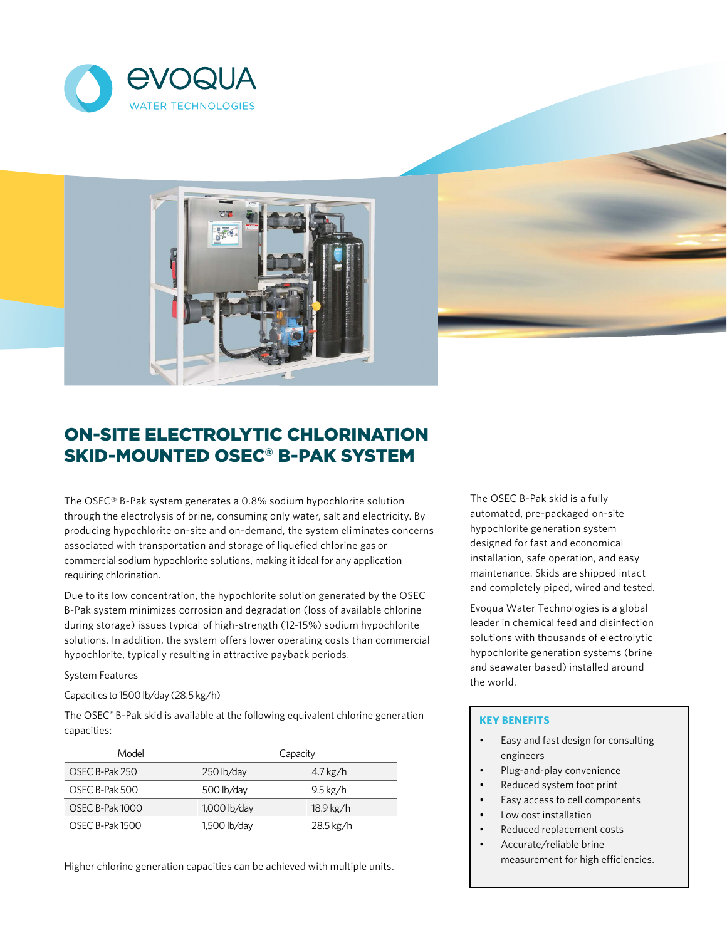





# ON-SITE ELECTROLYTIC CHLORINATION SKID-MOUNTED OSEC® B-PAK SYSTEM

The OSEC® B-Pak system generates a 0.8% sodium hypochlorite solution through the electrolysis of brine, consuming only water, salt and electricity. By producing hypochlorite on-site and on-demand, the system eliminates concerns associated with transportation and storage of liquefied chlorine gas or commercial sodium hypochlorite solutions, making it ideal for any application requiring chlorination.

Due to its low concentration, the hypochlorite solution generated by the OSEC B-Pak system minimizes corrosion and degradation (loss of available chlorine during storage) issues typical of high-strength (12-15%) sodium hypochlorite solutions. In addition, the system offers lower operating costs than commercial hypochlorite, typically resulting in attractive payback periods.

System Features

Capacities to 1500 lb/day (28.5 kg/h)

The OSEC® B-Pak skid is available at the following equivalent chlorine generation capacities:

| Model                  |                | Capacity             |  |  |
|------------------------|----------------|----------------------|--|--|
| OSEC B-Pak 250         | 250 lb/day     | $4.7\,\mathrm{kg}/h$ |  |  |
| OSEC B-Pak 500         | 500 lb/day     | $9.5\,\mathrm{kg}/h$ |  |  |
| <b>OSEC B-Pak 1000</b> | $1,000$ lb/day | 18.9 kg/h            |  |  |
| <b>OSEC B-Pak 1500</b> | 1,500 lb/day   | 28.5 kg/h            |  |  |

Higher chlorine generation capacities can be achieved with multiple units.

The OSEC B-Pak skid is a fully automated, pre-packaged on-site hypochlorite generation system designed for fast and economical installation, safe operation, and easy maintenance. Skids are shipped intact and completely piped, wired and tested.

Evoqua Water Technologies is a global leader in chemical feed and disinfection solutions with thousands of electrolytic hypochlorite generation systems (brine and seawater based) installed around the world.

# **KEY BENEFITS**

- Easy and fast design for consulting engineers
- Plug-and-play convenience
- Reduced system foot print
- Easy access to cell components
- Low cost installation
- Reduced replacement costs
- Accurate/reliable brine measurement for high efficiencies.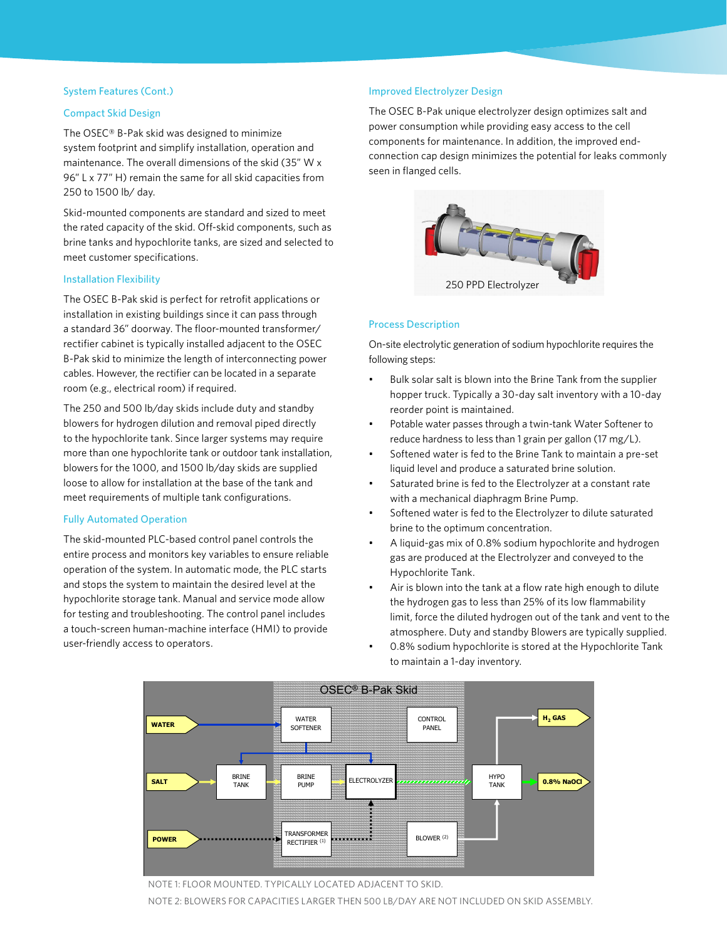## System Features (Cont.)

## Compact Skid Design

The OSEC® B-Pak skid was designed to minimize system footprint and simplify installation, operation and maintenance. The overall dimensions of the skid (35" W x 96" L x 77" H) remain the same for all skid capacities from 250 to 1500 lb/ day.

Skid-mounted components are standard and sized to meet the rated capacity of the skid. Off-skid components, such as brine tanks and hypochlorite tanks, are sized and selected to meet customer specifications.

#### Installation Flexibility

The OSEC B-Pak skid is perfect for retrofit applications or installation in existing buildings since it can pass through a standard 36" doorway. The floor-mounted transformer/ rectifier cabinet is typically installed adjacent to the OSEC B-Pak skid to minimize the length of interconnecting power cables. However, the rectifier can be located in a separate room (e.g., electrical room) if required.

The 250 and 500 lb/day skids include duty and standby blowers for hydrogen dilution and removal piped directly to the hypochlorite tank. Since larger systems may require more than one hypochlorite tank or outdoor tank installation, blowers for the 1000, and 1500 lb/day skids are supplied loose to allow for installation at the base of the tank and meet requirements of multiple tank configurations.

# Fully Automated Operation

The skid-mounted PLC-based control panel controls the entire process and monitors key variables to ensure reliable operation of the system. In automatic mode, the PLC starts and stops the system to maintain the desired level at the hypochlorite storage tank. Manual and service mode allow for testing and troubleshooting. The control panel includes a touch-screen human-machine interface (HMI) to provide user-friendly access to operators.

# Improved Electrolyzer Design

The OSEC B-Pak unique electrolyzer design optimizes salt and power consumption while providing easy access to the cell components for maintenance. In addition, the improved endconnection cap design minimizes the potential for leaks commonly seen in flanged cells.



#### Process Description

On-site electrolytic generation of sodium hypochlorite requires the following steps:

- Bulk solar salt is blown into the Brine Tank from the supplier hopper truck. Typically a 30-day salt inventory with a 10-day reorder point is maintained.
- Potable water passes through a twin-tank Water Softener to reduce hardness to less than 1 grain per gallon (17 mg/L).
- Softened water is fed to the Brine Tank to maintain a pre-set liquid level and produce a saturated brine solution.
- Saturated brine is fed to the Electrolyzer at a constant rate with a mechanical diaphragm Brine Pump.
- Softened water is fed to the Electrolyzer to dilute saturated brine to the optimum concentration.
- A liquid-gas mix of 0.8% sodium hypochlorite and hydrogen gas are produced at the Electrolyzer and conveyed to the Hypochlorite Tank.
- Air is blown into the tank at a flow rate high enough to dilute the hydrogen gas to less than 25% of its low flammability limit, force the diluted hydrogen out of the tank and vent to the atmosphere. Duty and standby Blowers are typically supplied.
- 0.8% sodium hypochlorite is stored at the Hypochlorite Tank to maintain a 1-day inventory.



Note 1: Floor mounted. Typically located adjacent to skid. NOTE 2: BLOWERS FOR CAPACITIES LARGER THEN 500 LB/DAY ARE NOT INCLUDED ON SKID ASSEMBLY.<br>. NOTE 1: FLOOR MOUNTED. TYPICALLY LOCATED ADJACENT TO SKID.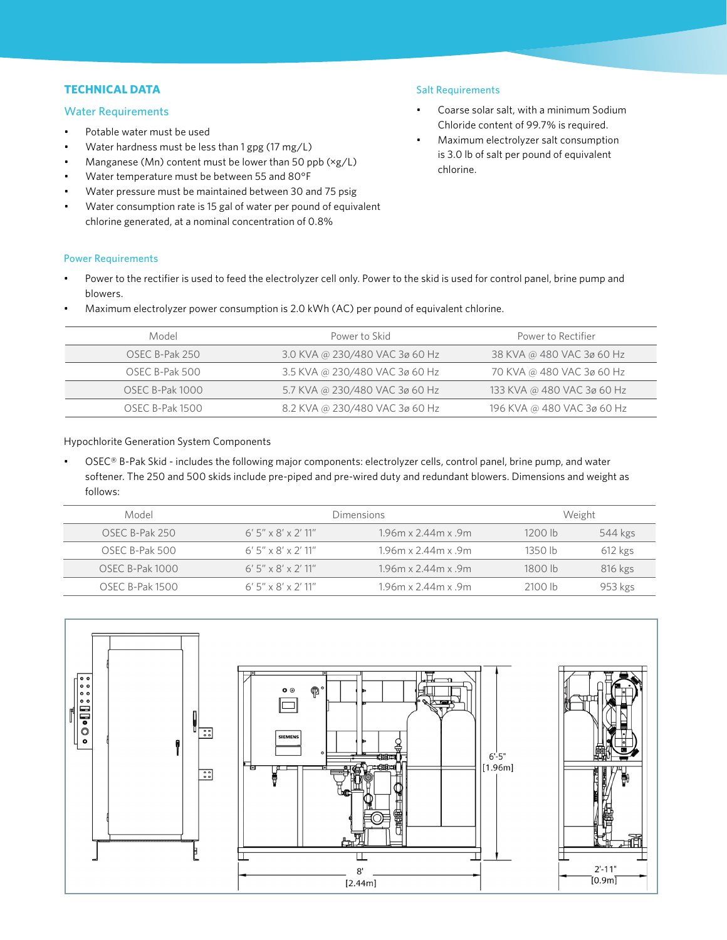# **TECHNICAL DATA**

# Water Requirements

Power Requirements

- Potable water must be used
- Water hardness must be less than 1 gpg (17 mg/L)
- Manganese (Mn) content must be lower than 50 ppb  $(xg/L)$
- Water temperature must be between 55 and 80°F
- Water pressure must be maintained between 30 and 75 psig
- Water consumption rate is 15 gal of water per pound of equivalent chlorine generated, at a nominal concentration of 0.8%

# Salt Requirements

- Coarse solar salt, with a minimum Sodium Chloride content of 99.7% is required.
- Maximum electrolyzer salt consumption is 3.0 lb of salt per pound of equivalent chlorine.
- Power to the rectifier is used to feed the electrolyzer cell only. Power to the skid is used for control panel, brine pump and blowers.
- Maximum electrolyzer power consumption is 2.0 kWh (AC) per pound of equivalent chlorine.

| Model                  | Power to Skid                  | Power to Rectifier         |
|------------------------|--------------------------------|----------------------------|
| OSEC B-Pak 250         | 3.0 KVA @ 230/480 VAC 3ø 60 Hz | 38 KVA @ 480 VAC 3ø 60 Hz  |
| OSEC B-Pak 500         | 3.5 KVA @ 230/480 VAC 3ø 60 Hz | 70 KVA @ 480 VAC 3ø 60 Hz  |
| <b>OSEC B-Pak 1000</b> | 5.7 KVA @ 230/480 VAC 3ø 60 Hz | 133 KVA @ 480 VAC 3ø 60 Hz |
| OSEC B-Pak 1500        | 8.2 KVA @ 230/480 VAC 3ø 60 Hz | 196 KVA @ 480 VAC 3ø 60 Hz |

Hypochlorite Generation System Components

• OSEC® B-Pak Skid - includes the following major components: electrolyzer cells, control panel, brine pump, and water softener. The 250 and 500 skids include pre-piped and pre-wired duty and redundant blowers. Dimensions and weight as follows:

| Model           |                       | Dimensions                      |           | Weight    |  |
|-----------------|-----------------------|---------------------------------|-----------|-----------|--|
| OSEC B-Pak 250  | $6'$ 5" x 8' x 2' 11" | $1.96m \times 2.44m \times .9m$ | 1200 h    | 544 kgs   |  |
| OSEC B-Pak 500  | $6'$ 5" x 8' x 2' 11" | $1.96m \times 2.44m \times 9m$  | $1350$ lb | $612$ kgs |  |
| OSEC B-Pak 1000 | $6'$ 5" x 8' x 2' 11" | $1.96m \times 2.44m \times 9m$  | 1800 h    | 816 kgs   |  |
| OSEC B-Pak 1500 | $6'$ 5" x 8' x 2' 11" | $1.96m \times 2.44m \times 9m$  | 2100 lb   | 953 kgs   |  |